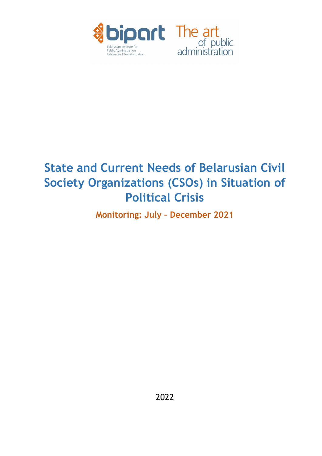

# State and Current Needs of Belarusian Civil Society Organizations (CSOs) in Situation of Political Crisis

Monitoring: July – December 2021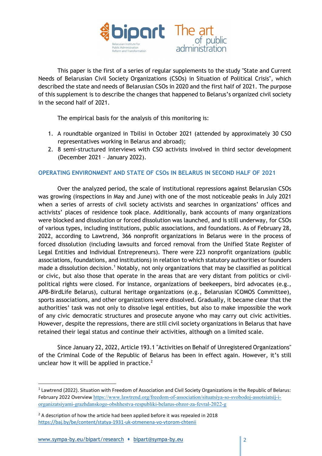

This paper is the first of a series of regular supplements to the study "State and Current Needs of Belarusian Civil Society Organizations (CSOs) in Situation of Political Crisis", which described the state and needs of Belarusian CSOs in 2020 and the first half of 2021. The purpose of this supplement is to describe the changes that happened to Belarus's organized civil society in the second half of 2021.

The empirical basis for the analysis of this monitoring is:

- 1. A roundtable organized in Tbilisi in October 2021 (attended by approximately 30 CSO representatives working in Belarus and abroad);
- 2. 8 semi-structured interviews with CSO activists involved in third sector development (December 2021 – January 2022).

## OPERATING ENVIRONMENT AND STATE OF CSOs IN BELARUS IN SECOND HALF OF 2021

Over the analyzed period, the scale of institutional repressions against Belarusian CSOs was growing (inspections in May and June) with one of the most noticeable peaks in July 2021 when a series of arrests of civil society activists and searches in organizations' offices and activists' places of residence took place. Additionally, bank accounts of many organizations were blocked and dissolution or forced dissolution was launched, and is still underway, for CSOs of various types, including institutions, public associations, and foundations. As of February 28, 2022, according to Lawtrend, 366 nonprofit organizations in Belarus were in the process of forced dissolution (including lawsuits and forced removal from the Unified State Register of Legal Entities and Individual Entrepreneurs). There were 223 nonprofit organizations (public associations, foundations, and institutions) in relation to which statutory authorities or founders made a dissolution decision.<sup>1</sup> Notably, not only organizations that may be classified as political or civic, but also those that operate in the areas that are very distant from politics or civilpolitical rights were closed. For instance, organizations of beekeepers, bird advocates (e.g., APB-BirdLife Belarus), cultural heritage organizations (e.g., Belarusian ICOMOS Committee), sports associations, and other organizations were dissolved. Gradually, it became clear that the authorities' task was not only to dissolve legal entities, but also to make impossible the work of any civic democratic structures and prosecute anyone who may carry out civic activities. However, despite the repressions, there are still civil society organizations in Belarus that have retained their legal status and continue their activities, although on a limited scale.

Since January 22, 2022, Article 193.1 "Activities on Behalf of Unregistered Organizations" of the Criminal Code of the Republic of Belarus has been in effect again. However, it's still unclear how it will be applied in practice. $2$ 

<sup>&</sup>lt;sup>1</sup> Lawtrend (2022). Situation with Freedom of Association and Civil Society Organizations in the Republic of Belarus: February 2022 Overview https://www.lawtrend.org/freedom-of-association/situatsiya-so-svobodoj-assotsiatsij-iorganizatsiyami-grazhdanskogo-obshhestva-respubliki-belarus-obzor-za-fevral-2022-g

 $2$  A description of how the article had been applied before it was repealed in 2018 https://baj.by/be/content/statya-1931-uk-otmenena-vo-vtorom-chtenii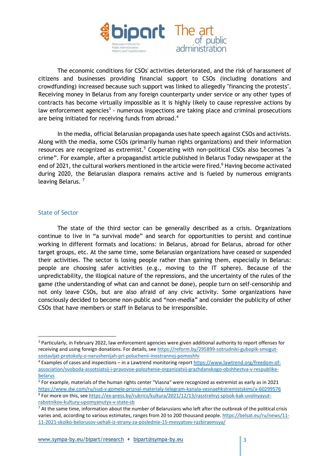

The economic conditions for CSOs' activities deteriorated, and the risk of harassment of citizens and businesses providing financial support to CSOs (including donations and crowdfunding) increased because such support was linked to allegedly "financing the protests". Receiving money in Belarus from any foreign counterparty under service or any other types of contracts has become virtually impossible as it is highly likely to cause repressive actions by law enforcement agencies<sup>3</sup> - numerous inspections are taking place and criminal prosecutions are being initiated for receiving funds from abroad.<sup>4</sup>

In the media, official Belarusian propaganda uses hate speech against CSOs and activists. Along with the media, some CSOs (primarily human rights organizations) and their information resources are recognized as extremist.<sup>5</sup> Cooperating with non-political CSOs also becomes "a crime". For example, after a propagandist article published in Belarus Today newspaper at the end of 2021, the cultural workers mentioned in the article were fired.<sup>6</sup> Having become activated during 2020, the Belarusian diaspora remains active and is fueled by numerous emigrants leaving Belarus.<sup>7</sup>

## State of Sector

The state of the third sector can be generally described as a crisis. Organizations continue to live in "a survival mode" and search for opportunities to persist and continue working in different formats and locations: in Belarus, abroad for Belarus, abroad for other target groups, etc. At the same time, some Belarusian organizations have ceased or suspended their activities. The sector is losing people rather than gaining them, especially in Belarus: people are choosing safer activities (e.g., moving to the IT sphere). Because of the unpredictability, the illogical nature of the repressions, and the uncertainty of the rules of the game (the understanding of what can and cannot be done), people turn on self-censorship and not only leave CSOs, but are also afraid of any civic activity. Some organizations have consciously decided to become non-public and "non-media" and consider the publicity of other CSOs that have members or staff in Belarus to be irresponsible.

<sup>&</sup>lt;sup>3</sup> Particularly, in February 2022, law enforcement agencies were given additional authority to report offenses for receiving and using foreign donations. For details, see https://reform.by/295899-sotrudniki-gubopik-smogutsostavljat-protokoly-o-narushenijah-pri-poluchenii-inostrannoj-pomoshhi

<sup>&</sup>lt;sup>4</sup> Examples of cases and inspections – in a Lawtrend monitoring report https://www.lawtrend.org/freedom-ofassociation/svoboda-assotsiatsij-i-pravovoe-polozhenie-organizatsij-grazhdanskogo-obshhestva-v-respublikebelarus

<sup>&</sup>lt;sup>5</sup> For example, materials of the human rights center "Viasna" were recognized as extremist as early as in 2021 https://www.dw.com/ru/sud-v-gomele-priznal-materialy-telegram-kanala-vesnaehkstremistskimi/a-60299576 <sup>6</sup> For more on this, see https://ex-press.by/rubrics/kultura/2021/12/13/rasstrelnyj-spisok-kak-uvolnyayutrabotnikov-kultury-upomyanutyx-v-state-sb

 $<sup>7</sup>$  At the same time, information about the number of Belarusians who left after the outbreak of the political crisis</sup> varies and, according to various estimates, ranges from 20 to 200 thousand people. https://belsat.eu/ru/news/11-11-2021-skolko-belorusov-uehali-iz-strany-za-poslednie-15-mesyatsev-razbiraemsya/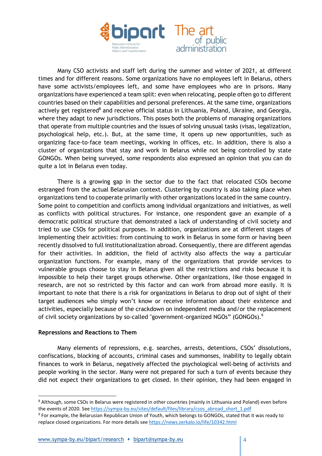

Many CSO activists and staff left during the summer and winter of 2021, at different times and for different reasons. Some organizations have no employees left in Belarus, others have some activists/employees left, and some have employees who are in prisons. Many organizations have experienced a team split: even when relocating, people often go to different countries based on their capabilities and personal preferences. At the same time, organizations actively get registered<sup>8</sup> and receive official status in Lithuania, Poland, Ukraine, and Georgia, where they adapt to new jurisdictions. This poses both the problems of managing organizations that operate from multiple countries and the issues of solving unusual tasks (visas, legalization, psychological help, etc.). But, at the same time, it opens up new opportunities, such as organizing face-to-face team meetings, working in offices, etc. In addition, there is also a cluster of organizations that stay and work in Belarus while not being controlled by state GONGOs. When being surveyed, some respondents also expressed an opinion that you can do quite a lot in Belarus even today.

There is a growing gap in the sector due to the fact that relocated CSOs become estranged from the actual Belarusian context. Clustering by country is also taking place when organizations tend to cooperate primarily with other organizations located in the same country. Some point to competition and conflicts among individual organizations and initiatives, as well as conflicts with political structures. For instance, one respondent gave an example of a democratic political structure that demonstrated a lack of understanding of civil society and tried to use CSOs for political purposes. In addition, organizations are at different stages of implementing their activities: from continuing to work in Belarus in some form or having been recently dissolved to full institutionalization abroad. Consequently, there are different agendas for their activities. In addition, the field of activity also affects the way a particular organization functions. For example, many of the organizations that provide services to vulnerable groups choose to stay in Belarus given all the restrictions and risks because it is impossible to help their target groups otherwise. Other organizations, like those engaged in research, are not so restricted by this factor and can work from abroad more easily. It is important to note that there is a risk for organizations in Belarus to drop out of sight of their target audiences who simply won't know or receive information about their existence and activities, especially because of the crackdown on independent media and/or the replacement of civil society organizations by so-called "government-organized NGOs" (GONGOs).<sup>9</sup>

## Repressions and Reactions to Them

Many elements of repressions, e.g. searches, arrests, detentions, CSOs' dissolutions, confiscations, blocking of accounts, criminal cases and summonses, inability to legally obtain finances to work in Belarus, negatively affected the psychological well-being of activists and people working in the sector. Many were not prepared for such a turn of events because they did not expect their organizations to get closed. In their opinion, they had been engaged in

<sup>&</sup>lt;sup>8</sup> Although, some CSOs in Belarus were registered in other countries (mainly in Lithuania and Poland) even before the events of 2020. See https://sympa-by.eu/sites/default/files/library/csos\_abroad\_short\_1.pdf

<sup>&</sup>lt;sup>9</sup> For example, the Belarusian Republican Union of Youth, which belongs to GONGOs, stated that it was ready to replace closed organizations. For more details see https://news.zerkalo.io/life/10342.html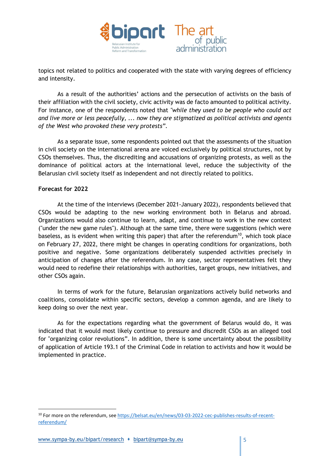

topics not related to politics and cooperated with the state with varying degrees of efficiency and intensity.

As a result of the authorities' actions and the persecution of activists on the basis of their affiliation with the civil society, civic activity was de facto amounted to political activity. For instance, one of the respondents noted that "while they used to be people who could act and live more or less peacefully, ... now they are stigmatized as political activists and agents of the West who provoked these very protests".

As a separate issue, some respondents pointed out that the assessments of the situation in civil society on the international arena are voiced exclusively by political structures, not by CSOs themselves. Thus, the discrediting and accusations of organizing protests, as well as the dominance of political actors at the international level, reduce the subjectivity of the Belarusian civil society itself as independent and not directly related to politics.

## Forecast for 2022

At the time of the interviews (December 2021-January 2022), respondents believed that CSOs would be adapting to the new working environment both in Belarus and abroad. Organizations would also continue to learn, adapt, and continue to work in the new context ("under the new game rules"). Although at the same time, there were suggestions (which were baseless, as is evident when writing this paper) that after the referendum<sup>10</sup>, which took place on February 27, 2022, there might be changes in operating conditions for organizations, both positive and negative. Some organizations deliberately suspended activities precisely in anticipation of changes after the referendum. In any case, sector representatives felt they would need to redefine their relationships with authorities, target groups, new initiatives, and other CSOs again.

In terms of work for the future, Belarusian organizations actively build networks and coalitions, consolidate within specific sectors, develop a common agenda, and are likely to keep doing so over the next year.

As for the expectations regarding what the government of Belarus would do, it was indicated that it would most likely continue to pressure and discredit CSOs as an alleged tool for "organizing color revolutions". In addition, there is some uncertainty about the possibility of application of Article 193.1 of the Criminal Code in relation to activists and how it would be implemented in practice.

<sup>&</sup>lt;sup>10</sup> For more on the referendum, see https://belsat.eu/en/news/03-03-2022-cec-publishes-results-of-recentreferendum/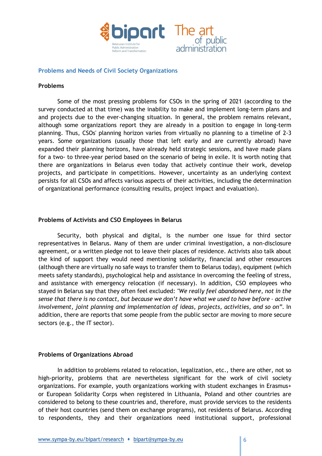

#### Problems and Needs of Civil Society Organizations

#### Problems

Some of the most pressing problems for CSOs in the spring of 2021 (according to the survey conducted at that time) was the inability to make and implement long-term plans and and projects due to the ever-changing situation. In general, the problem remains relevant, although some organizations report they are already in a position to engage in long-term planning. Thus, CSOs' planning horizon varies from virtually no planning to a timeline of 2-3 years. Some organizations (usually those that left early and are currently abroad) have expanded their planning horizons, have already held strategic sessions, and have made plans for a two- to three-year period based on the scenario of being in exile. It is worth noting that there are organizations in Belarus even today that actively continue their work, develop projects, and participate in competitions. However, uncertainty as an underlying context persists for all CSOs and affects various aspects of their activities, including the determination of organizational performance (consulting results, project impact and evaluation).

#### Problems of Activists and CSO Employees in Belarus

Security, both physical and digital, is the number one issue for third sector representatives in Belarus. Many of them are under criminal investigation, a non-disclosure agreement, or a written pledge not to leave their places of residence. Activists also talk about the kind of support they would need mentioning solidarity, financial and other resources (although there are virtually no safe ways to transfer them to Belarus today), equipment (which meets safety standards), psychological help and assistance in overcoming the feeling of stress, and assistance with emergency relocation (if necessary). In addition, CSO employees who stayed in Belarus say that they often feel excluded: "We really feel abandoned here, not in the sense that there is no contact, but because we don't have what we used to have before – active involvement, joint planning and implementation of ideas, projects, activities, and so on". In addition, there are reports that some people from the public sector are moving to more secure sectors (e.g., the IT sector).

#### Problems of Organizations Abroad

In addition to problems related to relocation, legalization, etc., there are other, not so high-priority, problems that are nevertheless significant for the work of civil society organizations. For example, youth organizations working with student exchanges in Erasmus+ or European Solidarity Corps when registered in Lithuania, Poland and other countries are considered to belong to these countries and, therefore, must provide services to the residents of their host countries (send them on exchange programs), not residents of Belarus. According to respondents, they and their organizations need institutional support, professional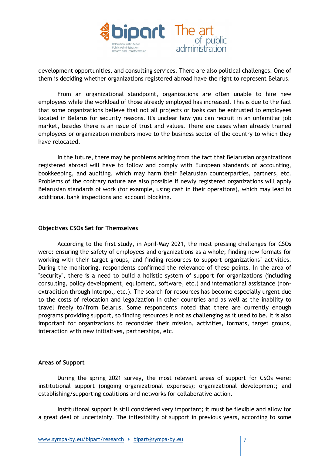

development opportunities, and consulting services. There are also political challenges. One of them is deciding whether organizations registered abroad have the right to represent Belarus.

From an organizational standpoint, organizations are often unable to hire new employees while the workload of those already employed has increased. This is due to the fact that some organizations believe that not all projects or tasks can be entrusted to employees located in Belarus for security reasons. It's unclear how you can recruit in an unfamiliar job market, besides there is an issue of trust and values. There are cases when already trained employees or organization members move to the business sector of the country to which they have relocated.

In the future, there may be problems arising from the fact that Belarusian organizations registered abroad will have to follow and comply with European standards of accounting, bookkeeping, and auditing, which may harm their Belarusian counterparties, partners, etc. Problems of the contrary nature are also possible if newly registered organizations will apply Belarusian standards of work (for example, using cash in their operations), which may lead to additional bank inspections and account blocking.

## Objectives CSOs Set for Themselves

According to the first study, in April-May 2021, the most pressing challenges for CSOs were: ensuring the safety of employees and organizations as a whole; finding new formats for working with their target groups; and finding resources to support organizations' activities. During the monitoring, respondents confirmed the relevance of these points. In the area of "security", there is a need to build a holistic system of support for organizations (including consulting, policy development, equipment, software, etc.) and international assistance (nonextradition through Interpol, etc.). The search for resources has become especially urgent due to the costs of relocation and legalization in other countries and as well as the inability to travel freely to/from Belarus. Some respondents noted that there are currently enough programs providing support, so finding resources is not as challenging as it used to be. It is also important for organizations to reconsider their mission, activities, formats, target groups, interaction with new initiatives, partnerships, etc.

#### Areas of Support

During the spring 2021 survey, the most relevant areas of support for CSOs were: institutional support (ongoing organizational expenses); organizational development; and establishing/supporting coalitions and networks for collaborative action.

Institutional support is still considered very important; it must be flexible and allow for a great deal of uncertainty. The inflexibility of support in previous years, according to some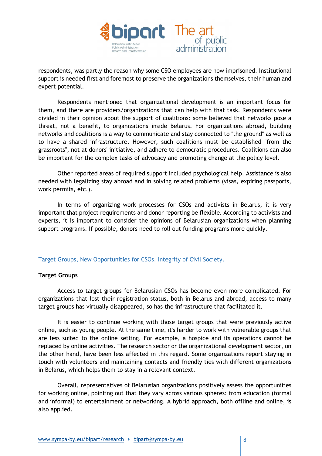

respondents, was partly the reason why some CSO employees are now imprisoned. Institutional support is needed first and foremost to preserve the organizations themselves, their human and expert potential.

Respondents mentioned that organizational development is an important focus for them, and there are providers/organizations that can help with that task. Respondents were divided in their opinion about the support of coalitions: some believed that networks pose a threat, not a benefit, to organizations inside Belarus. For organizations abroad, building networks and coalitions is a way to communicate and stay connected to "the ground" as well as to have a shared infrastructure. However, such coalitions must be established "from the grassroots", not at donors' initiative, and adhere to democratic procedures. Coalitions can also be important for the complex tasks of advocacy and promoting change at the policy level.

Other reported areas of required support included psychological help. Assistance is also needed with legalizing stay abroad and in solving related problems (visas, expiring passports, work permits, etc.).

In terms of organizing work processes for CSOs and activists in Belarus, it is very important that project requirements and donor reporting be flexible. According to activists and experts, it is important to consider the opinions of Belarusian organizations when planning support programs. If possible, donors need to roll out funding programs more quickly.

## Target Groups, New Opportunities for CSOs. Integrity of Civil Society.

## Target Groups

Access to target groups for Belarusian CSOs has become even more complicated. For organizations that lost their registration status, both in Belarus and abroad, access to many target groups has virtually disappeared, so has the infrastructure that facilitated it.

It is easier to continue working with those target groups that were previously active online, such as young people. At the same time, it's harder to work with vulnerable groups that are less suited to the online setting. For example, a hospice and its operations cannot be replaced by online activities. The research sector or the organizational development sector, on the other hand, have been less affected in this regard. Some organizations report staying in touch with volunteers and maintaining contacts and friendly ties with different organizations in Belarus, which helps them to stay in a relevant context.

Overall, representatives of Belarusian organizations positively assess the opportunities for working online, pointing out that they vary across various spheres: from education (formal and informal) to entertainment or networking. A hybrid approach, both offline and online, is also applied.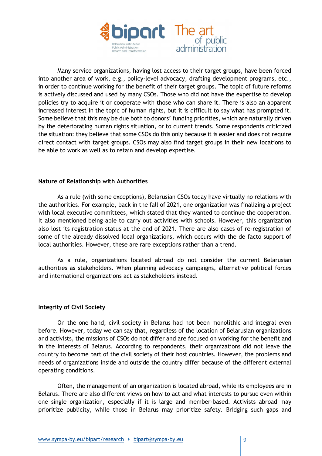

Many service organizations, having lost access to their target groups, have been forced into another area of work, e.g., policy-level advocacy, drafting development programs, etc., in order to continue working for the benefit of their target groups. The topic of future reforms is actively discussed and used by many CSOs. Those who did not have the expertise to develop policies try to acquire it or cooperate with those who can share it. There is also an apparent increased interest in the topic of human rights, but it is difficult to say what has prompted it. Some believe that this may be due both to donors' funding priorities, which are naturally driven by the deteriorating human rights situation, or to current trends. Some respondents criticized the situation: they believe that some CSOs do this only because it is easier and does not require direct contact with target groups. CSOs may also find target groups in their new locations to be able to work as well as to retain and develop expertise.

#### Nature of Relationship with Authorities

As a rule (with some exceptions), Belarusian CSOs today have virtually no relations with the authorities. For example, back in the fall of 2021, one organization was finalizing a project with local executive committees, which stated that they wanted to continue the cooperation. It also mentioned being able to carry out activities with schools. However, this organization also lost its registration status at the end of 2021. There are also cases of re-registration of some of the already dissolved local organizations, which occurs with the de facto support of local authorities. However, these are rare exceptions rather than a trend.

As a rule, organizations located abroad do not consider the current Belarusian authorities as stakeholders. When planning advocacy campaigns, alternative political forces and international organizations act as stakeholders instead.

## Integrity of Civil Society

On the one hand, civil society in Belarus had not been monolithic and integral even before. However, today we can say that, regardless of the location of Belarusian organizations and activists, the missions of CSOs do not differ and are focused on working for the benefit and in the interests of Belarus. According to respondents, their organizations did not leave the country to become part of the civil society of their host countries. However, the problems and needs of organizations inside and outside the country differ because of the different external operating conditions.

Often, the management of an organization is located abroad, while its employees are in Belarus. There are also different views on how to act and what interests to pursue even within one single organization, especially if it is large and member-based. Activists abroad may prioritize publicity, while those in Belarus may prioritize safety. Bridging such gaps and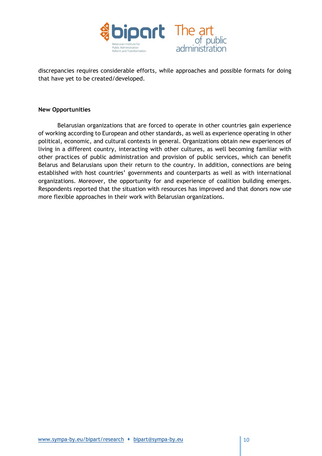

discrepancies requires considerable efforts, while approaches and possible formats for doing that have yet to be created/developed.

#### New Opportunities

Belarusian organizations that are forced to operate in other countries gain experience of working according to European and other standards, as well as experience operating in other political, economic, and cultural contexts in general. Organizations obtain new experiences of living in a different country, interacting with other cultures, as well becoming familiar with other practices of public administration and provision of public services, which can benefit Belarus and Belarusians upon their return to the country. In addition, connections are being established with host countries' governments and counterparts as well as with international organizations. Moreover, the opportunity for and experience of coalition building emerges. Respondents reported that the situation with resources has improved and that donors now use more flexible approaches in their work with Belarusian organizations.